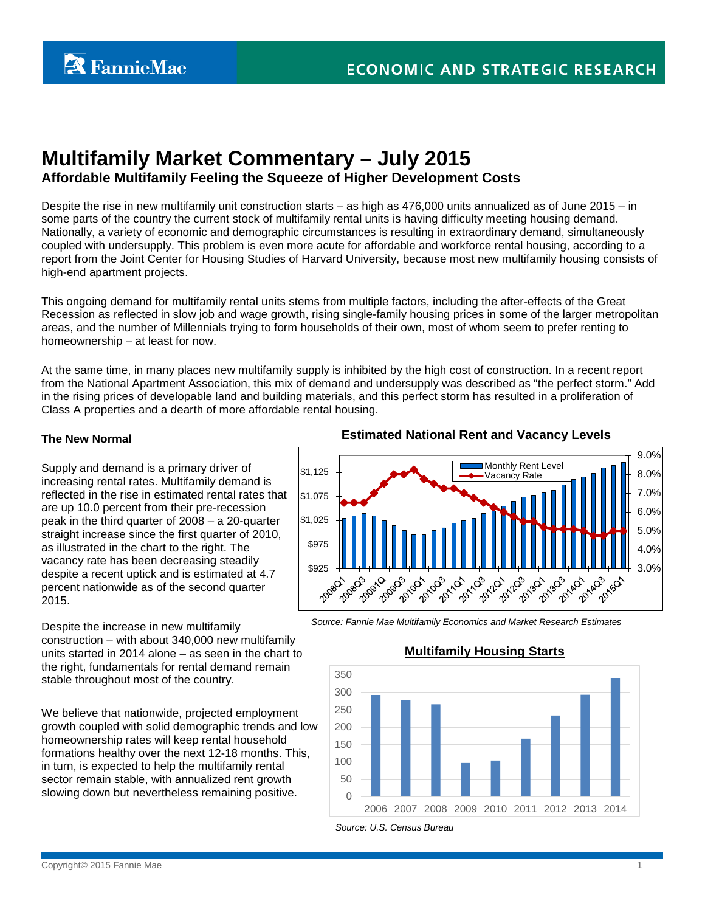# **Multifamily Market Commentary – July 2015**

# **Affordable Multifamily Feeling the Squeeze of Higher Development Costs**

Despite the rise in new multifamily unit construction starts – as high as 476,000 units annualized as of June 2015 – in some parts of the country the current stock of multifamily rental units is having difficulty meeting housing demand. Nationally, a variety of economic and demographic circumstances is resulting in extraordinary demand, simultaneously coupled with undersupply. This problem is even more acute for affordable and workforce rental housing, according to a report from the Joint Center for Housing Studies of Harvard University, because most new multifamily housing consists of high-end apartment projects.

This ongoing demand for multifamily rental units stems from multiple factors, including the after-effects of the Great Recession as reflected in slow job and wage growth, rising single-family housing prices in some of the larger metropolitan areas, and the number of Millennials trying to form households of their own, most of whom seem to prefer renting to homeownership – at least for now.

At the same time, in many places new multifamily supply is inhibited by the high cost of construction. In a recent report from the National Apartment Association, this mix of demand and undersupply was described as "the perfect storm." Add in the rising prices of developable land and building materials, and this perfect storm has resulted in a proliferation of Class A properties and a dearth of more affordable rental housing.

#### **The New Normal**

Supply and demand is a primary driver of increasing rental rates. Multifamily demand is reflected in the rise in estimated rental rates that are up 10.0 percent from their pre-recession peak in the third quarter of 2008 – a 20-quarter straight increase since the first quarter of 2010, as illustrated in the chart to the right. The vacancy rate has been decreasing steadily despite a recent uptick and is estimated at 4.7 percent nationwide as of the second quarter 2015.

Despite the increase in new multifamily construction – with about 340,000 new multifamily units started in 2014 alone – as seen in the chart to the right, fundamentals for rental demand remain stable throughout most of the country.

We believe that nationwide, projected employment growth coupled with solid demographic trends and low homeownership rates will keep rental household formations healthy over the next 12-18 months. This, in turn, is expected to help the multifamily rental sector remain stable, with annualized rent growth slowing down but nevertheless remaining positive.

# **Estimated National Rent and Vacancy Levels**



*Source: Fannie Mae Multifamily Economics and Market Research Estimates*



# **Multifamily Housing Starts**

Copyright© 2015 Fannie Mae 1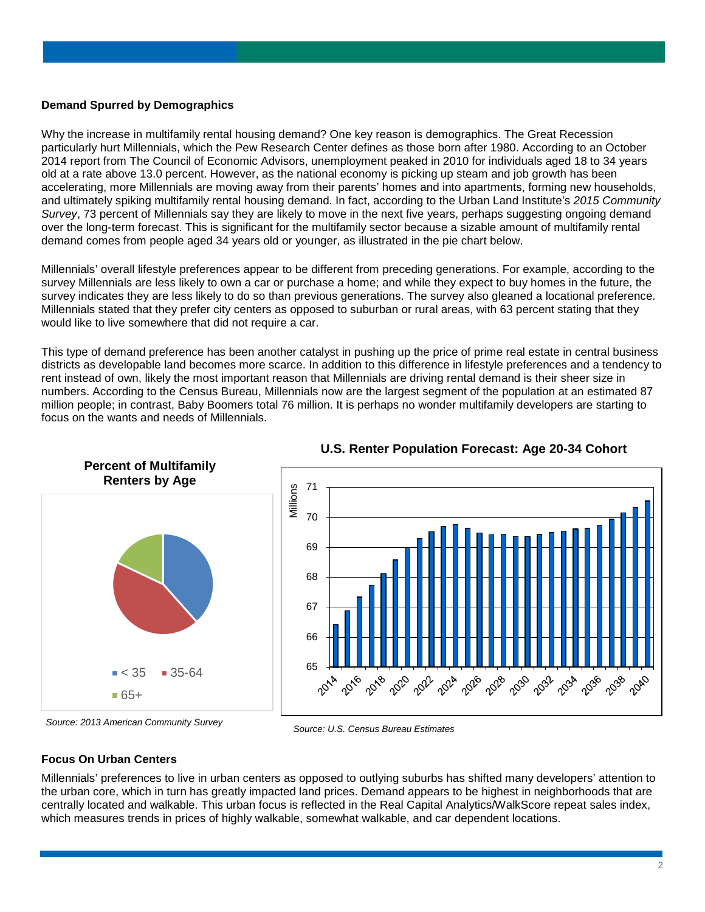#### **Demand Spurred by Demographics**

Why the increase in multifamily rental housing demand? One key reason is demographics. The Great Recession particularly hurt Millennials, which the Pew Research Center defines as those born after 1980. According to an October 2014 report from The Council of Economic Advisors, unemployment peaked in 2010 for individuals aged 18 to 34 years old at a rate above 13.0 percent. However, as the national economy is picking up steam and job growth has been accelerating, more Millennials are moving away from their parents' homes and into apartments, forming new households, and ultimately spiking multifamily rental housing demand. In fact, according to the Urban Land Institute's *2015 Community Survey*, 73 percent of Millennials say they are likely to move in the next five years, perhaps suggesting ongoing demand over the long-term forecast. This is significant for the multifamily sector because a sizable amount of multifamily rental demand comes from people aged 34 years old or younger, as illustrated in the pie chart below.

Millennials' overall lifestyle preferences appear to be different from preceding generations. For example, according to the survey Millennials are less likely to own a car or purchase a home; and while they expect to buy homes in the future, the survey indicates they are less likely to do so than previous generations. The survey also gleaned a locational preference. Millennials stated that they prefer city centers as opposed to suburban or rural areas, with 63 percent stating that they would like to live somewhere that did not require a car.

This type of demand preference has been another catalyst in pushing up the price of prime real estate in central business districts as developable land becomes more scarce. In addition to this difference in lifestyle preferences and a tendency to rent instead of own, likely the most important reason that Millennials are driving rental demand is their sheer size in numbers. According to the Census Bureau, Millennials now are the largest segment of the population at an estimated 87 million people; in contrast, Baby Boomers total 76 million. It is perhaps no wonder multifamily developers are starting to focus on the wants and needs of Millennials.





*Source: U.S. Census Bureau Estimates Source: 2013 American Community Survey*



#### **Focus On Urban Centers**

Millennials' preferences to live in urban centers as opposed to outlying suburbs has shifted many developers' attention to the urban core, which in turn has greatly impacted land prices. Demand appears to be highest in neighborhoods that are centrally located and walkable. This urban focus is reflected in the Real Capital Analytics/WalkScore repeat sales index, which measures trends in prices of highly walkable, somewhat walkable, and car dependent locations.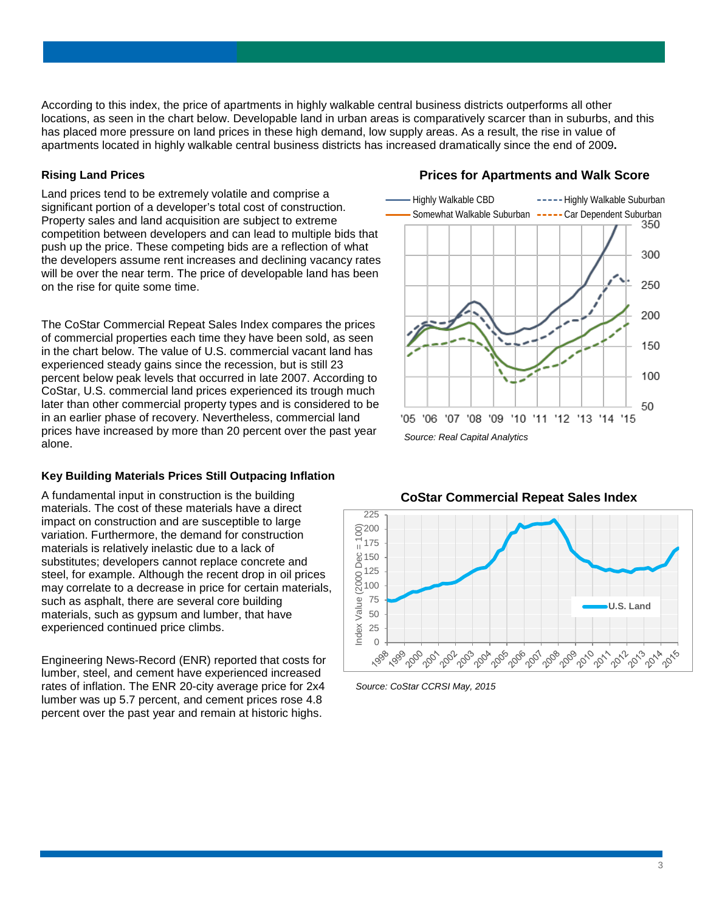According to this index, the price of apartments in highly walkable central business districts outperforms all other locations, as seen in the chart below. Developable land in urban areas is comparatively scarcer than in suburbs, and this has placed more pressure on land prices in these high demand, low supply areas. As a result, the rise in value of apartments located in highly walkable central business districts has increased dramatically since the end of 2009**.**

#### **Rising Land Prices**

Land prices tend to be extremely volatile and comprise a significant portion of a developer's total cost of construction. Property sales and land acquisition are subject to extreme competition between developers and can lead to multiple bids that push up the price. These competing bids are a reflection of what the developers assume rent increases and declining vacancy rates will be over the near term. The price of developable land has been on the rise for quite some time.

The CoStar Commercial Repeat Sales Index compares the prices of commercial properties each time they have been sold, as seen in the chart below. The value of U.S. commercial vacant land has experienced steady gains since the recession, but is still 23 percent below peak levels that occurred in late 2007. According to CoStar, U.S. commercial land prices experienced its trough much later than other commercial property types and is considered to be in an earlier phase of recovery. Nevertheless, commercial land prices have increased by more than 20 percent over the past year alone.

# **Key Building Materials Prices Still Outpacing Inflation**

A fundamental input in construction is the building materials. The cost of these materials have a direct impact on construction and are susceptible to large variation. Furthermore, the demand for construction materials is relatively inelastic due to a lack of substitutes; developers cannot replace concrete and steel, for example. Although the recent drop in oil prices may correlate to a decrease in price for certain materials, such as asphalt, there are several core building materials, such as gypsum and lumber, that have experienced continued price climbs.

Engineering News-Record (ENR) reported that costs for lumber, steel, and cement have experienced increased rates of inflation. The ENR 20-city average price for 2x4 lumber was up 5.7 percent, and cement prices rose 4.8 percent over the past year and remain at historic highs.

# **Prices for Apartments and Walk Score**







*Source: CoStar CCRSI May, 2015*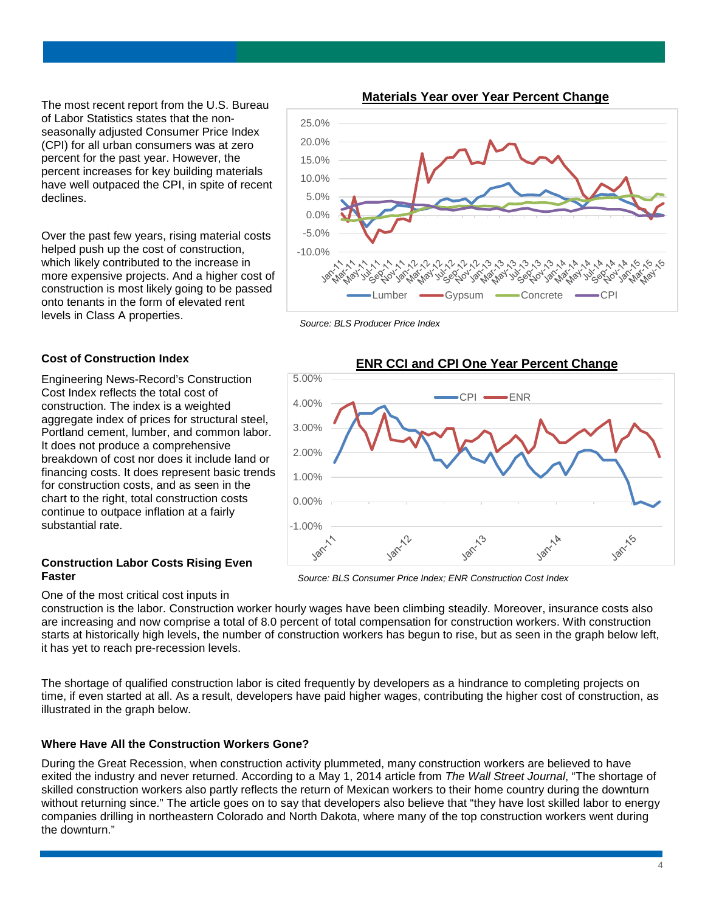The most recent report from the U.S. Bureau of Labor Statistics states that the nonseasonally adjusted Consumer Price Index (CPI) for all urban consumers was at zero percent for the past year. However, the percent increases for key building materials have well outpaced the CPI, in spite of recent declines.

Over the past few years, rising material costs helped push up the cost of construction, which likely contributed to the increase in more expensive projects. And a higher cost of construction is most likely going to be passed onto tenants in the form of elevated rent levels in Class A properties.

#### **Materials Year over Year Percent Change**



*Source: BLS Producer Price Index*

# **ENR CCI and CPI One Year Percent Change** 5.00%  $CPI \longrightarrow FNR$ 4.00% 3.00% 2.00% 1.00% 0.00% -1.00%  $y^6$ Jan-11 Jan

*Source: BLS Consumer Price Index; ENR Construction Cost Index*

**Cost of Construction Index** 

Engineering News-Record's Construction Cost Index reflects the total cost of construction. The index is a weighted aggregate index of prices for structural steel, Portland cement, lumber, and common labor. It does not produce a comprehensive breakdown of cost nor does it include land or financing costs. It does represent basic trends for construction costs, and as seen in the chart to the right, total construction costs continue to outpace inflation at a fairly substantial rate.

#### **Construction Labor Costs Rising Even Faster**

One of the most critical cost inputs in

construction is the labor. Construction worker hourly wages have been climbing steadily. Moreover, insurance costs also are increasing and now comprise a total of 8.0 percent of total compensation for construction workers. With construction starts at historically high levels, the number of construction workers has begun to rise, but as seen in the graph below left, it has yet to reach pre-recession levels.

The shortage of qualified construction labor is cited frequently by developers as a hindrance to completing projects on time, if even started at all. As a result, developers have paid higher wages, contributing the higher cost of construction, as illustrated in the graph below.

# **Where Have All the Construction Workers Gone?**

During the Great Recession, when construction activity plummeted, many construction workers are believed to have exited the industry and never returned. According to a May 1, 2014 article from *The Wall Street Journal*, "The shortage of skilled construction workers also partly reflects the return of Mexican workers to their home country during the downturn without returning since." The article goes on to say that developers also believe that "they have lost skilled labor to energy companies drilling in northeastern Colorado and North Dakota, where many of the top construction workers went during the downturn."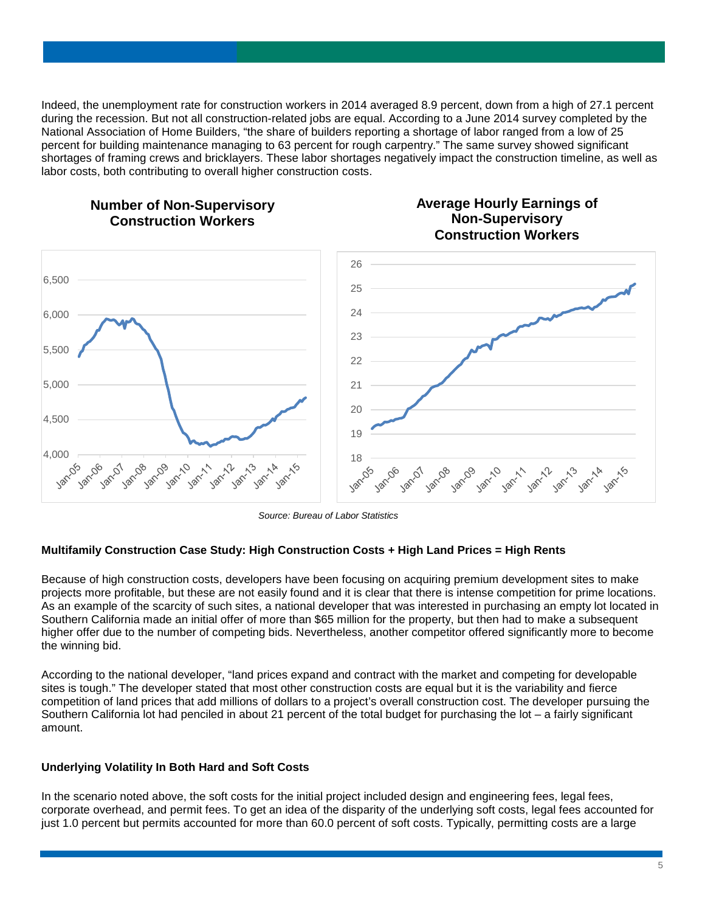Indeed, the unemployment rate for construction workers in 2014 averaged 8.9 percent, down from a high of 27.1 percent during the recession. But not all construction-related jobs are equal. According to a June 2014 survey completed by the National Association of Home Builders, "the share of builders reporting a shortage of labor ranged from a low of 25 percent for building maintenance managing to 63 percent for rough carpentry." The same survey showed significant shortages of framing crews and bricklayers. These labor shortages negatively impact the construction timeline, as well as labor costs, both contributing to overall higher construction costs.

> **Average Hourly Earnings of Non-Supervisory**



# **Number of Non-Supervisory Construction Workers**

*Source: Bureau of Labor Statistics*

#### **Multifamily Construction Case Study: High Construction Costs + High Land Prices = High Rents**

Because of high construction costs, developers have been focusing on acquiring premium development sites to make projects more profitable, but these are not easily found and it is clear that there is intense competition for prime locations. As an example of the scarcity of such sites, a national developer that was interested in purchasing an empty lot located in Southern California made an initial offer of more than \$65 million for the property, but then had to make a subsequent higher offer due to the number of competing bids. Nevertheless, another competitor offered significantly more to become the winning bid.

According to the national developer, "land prices expand and contract with the market and competing for developable sites is tough." The developer stated that most other construction costs are equal but it is the variability and fierce competition of land prices that add millions of dollars to a project's overall construction cost. The developer pursuing the Southern California lot had penciled in about 21 percent of the total budget for purchasing the lot – a fairly significant amount.

#### **Underlying Volatility In Both Hard and Soft Costs**

In the scenario noted above, the soft costs for the initial project included design and engineering fees, legal fees, corporate overhead, and permit fees. To get an idea of the disparity of the underlying soft costs, legal fees accounted for just 1.0 percent but permits accounted for more than 60.0 percent of soft costs. Typically, permitting costs are a large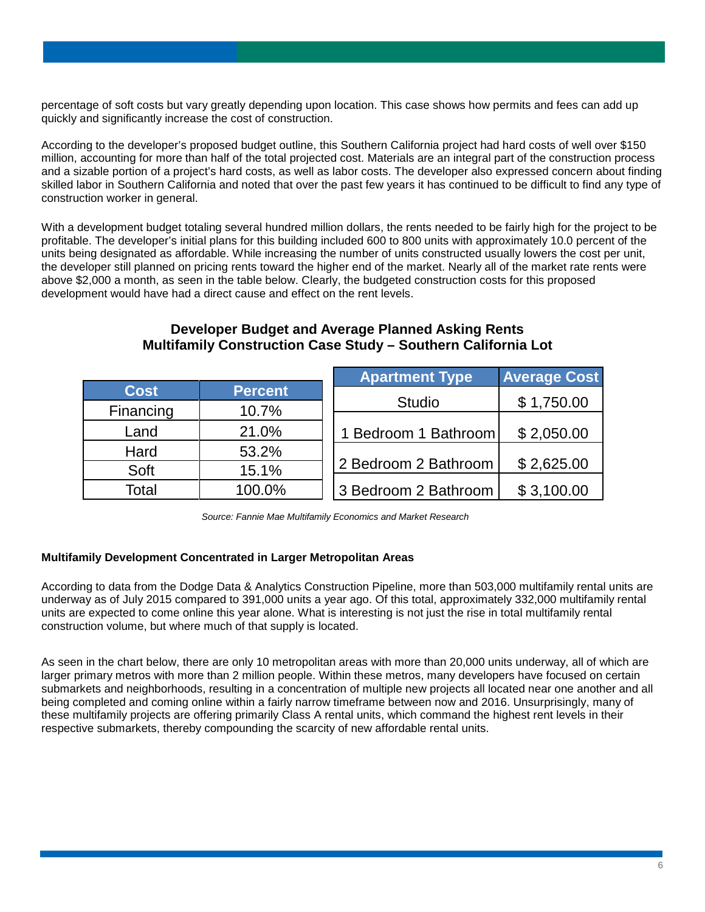percentage of soft costs but vary greatly depending upon location. This case shows how permits and fees can add up quickly and significantly increase the cost of construction.

According to the developer's proposed budget outline, this Southern California project had hard costs of well over \$150 million, accounting for more than half of the total projected cost. Materials are an integral part of the construction process and a sizable portion of a project's hard costs, as well as labor costs. The developer also expressed concern about finding skilled labor in Southern California and noted that over the past few years it has continued to be difficult to find any type of construction worker in general.

With a development budget totaling several hundred million dollars, the rents needed to be fairly high for the project to be profitable. The developer's initial plans for this building included 600 to 800 units with approximately 10.0 percent of the units being designated as affordable. While increasing the number of units constructed usually lowers the cost per unit, the developer still planned on pricing rents toward the higher end of the market. Nearly all of the market rate rents were above \$2,000 a month, as seen in the table below. Clearly, the budgeted construction costs for this proposed development would have had a direct cause and effect on the rent levels.

|             |                | <b>Apartment Type</b> | <b>Average Cost</b> |
|-------------|----------------|-----------------------|---------------------|
| <b>Cost</b> | <b>Percent</b> |                       |                     |
| Financing   | 10.7%          | <b>Studio</b>         | \$1,750.00          |
| Land        | 21.0%          | 1 Bedroom 1 Bathroom  | \$2,050.00          |
| Hard        | 53.2%          |                       |                     |
| Soft        | 15.1%          | 2 Bedroom 2 Bathroom  | \$2,625.00          |
| Total       | 100.0%         | 3 Bedroom 2 Bathroom  | \$3,100.00          |

### **Developer Budget and Average Planned Asking Rents Multifamily Construction Case Study – Southern California Lot**

*Source: Fannie Mae Multifamily Economics and Market Research*

#### **Multifamily Development Concentrated in Larger Metropolitan Areas**

According to data from the Dodge Data & Analytics Construction Pipeline, more than 503,000 multifamily rental units are underway as of July 2015 compared to 391,000 units a year ago. Of this total, approximately 332,000 multifamily rental units are expected to come online this year alone. What is interesting is not just the rise in total multifamily rental construction volume, but where much of that supply is located.

As seen in the chart below, there are only 10 metropolitan areas with more than 20,000 units underway, all of which are larger primary metros with more than 2 million people. Within these metros, many developers have focused on certain submarkets and neighborhoods, resulting in a concentration of multiple new projects all located near one another and all being completed and coming online within a fairly narrow timeframe between now and 2016. Unsurprisingly, many of these multifamily projects are offering primarily Class A rental units, which command the highest rent levels in their respective submarkets, thereby compounding the scarcity of new affordable rental units.